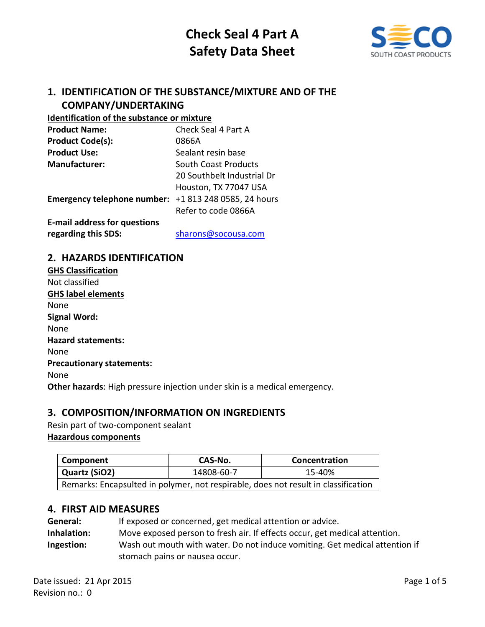

# **1. IDENTIFICATION OF THE SUBSTANCE/MIXTURE AND OF THE COMPANY/UNDERTAKING**

#### **Identification of the substance or mixture**

| <b>Product Name:</b>                                  | Check Seal 4 Part A         |
|-------------------------------------------------------|-----------------------------|
| <b>Product Code(s):</b>                               | 0866A                       |
| <b>Product Use:</b>                                   | Sealant resin base          |
| <b>Manufacturer:</b>                                  | <b>South Coast Products</b> |
|                                                       | 20 Southbelt Industrial Dr  |
|                                                       | Houston, TX 77047 USA       |
| Emergency telephone number: +1 813 248 0585, 24 hours |                             |
|                                                       | Refer to code 0866A         |
| <b>E-mail address for questions</b>                   |                             |

**regarding this SDS:** [sharons@socousa.com](mailto:sharons@socousa.com)

# **2. HAZARDS IDENTIFICATION**

| <b>GHS Classification</b>                                                 |
|---------------------------------------------------------------------------|
| Not classified                                                            |
| <b>GHS label elements</b>                                                 |
| None                                                                      |
| <b>Signal Word:</b>                                                       |
| None                                                                      |
| <b>Hazard statements:</b>                                                 |
| None                                                                      |
| <b>Precautionary statements:</b>                                          |
| None                                                                      |
| Other hazards: High pressure injection under skin is a medical emergency. |
|                                                                           |

# **3. COMPOSITION/INFORMATION ON INGREDIENTS**

Resin part of two-component sealant **Hazardous components**

# **Component CAS-No. CAS-No. Concentration Quartz (SiO2)** 14808-60-7 15-40% Remarks: Encapsulted in polymer, not respirable, does not result in classification

### **4. FIRST AID MEASURES**

| General:    | If exposed or concerned, get medical attention or advice.                   |
|-------------|-----------------------------------------------------------------------------|
| Inhalation: | Move exposed person to fresh air. If effects occur, get medical attention.  |
| Ingestion:  | Wash out mouth with water. Do not induce vomiting. Get medical attention if |
|             | stomach pains or nausea occur.                                              |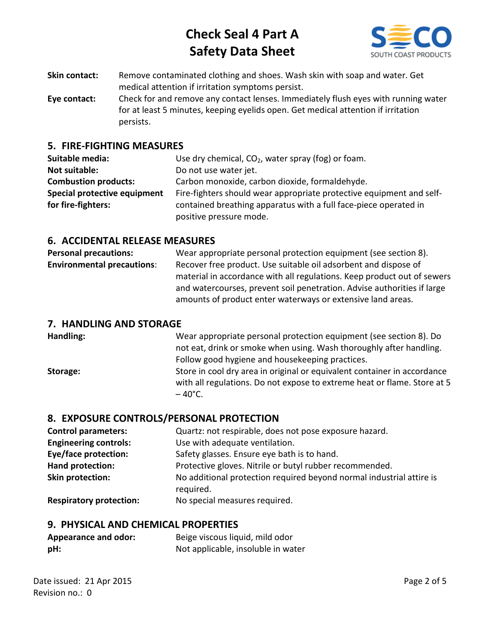

- **Skin contact:** Remove contaminated clothing and shoes. Wash skin with soap and water. Get medical attention if irritation symptoms persist.
- **Eye contact:** Check for and remove any contact lenses. Immediately flush eyes with running water for at least 5 minutes, keeping eyelids open. Get medical attention if irritation persists.

## **5. FIRE-FIGHTING MEASURES**

| Suitable media:              | Use dry chemical, $CO2$ , water spray (fog) or foam.                 |
|------------------------------|----------------------------------------------------------------------|
| <b>Not suitable:</b>         | Do not use water jet.                                                |
| <b>Combustion products:</b>  | Carbon monoxide, carbon dioxide, formaldehyde.                       |
| Special protective equipment | Fire-fighters should wear appropriate protective equipment and self- |
| for fire-fighters:           | contained breathing apparatus with a full face-piece operated in     |
|                              | positive pressure mode.                                              |

## **6. ACCIDENTAL RELEASE MEASURES**

| <b>Personal precautions:</b>      | Wear appropriate personal protection equipment (see section 8).         |
|-----------------------------------|-------------------------------------------------------------------------|
| <b>Environmental precautions:</b> | Recover free product. Use suitable oil adsorbent and dispose of         |
|                                   | material in accordance with all regulations. Keep product out of sewers |
|                                   | and watercourses, prevent soil penetration. Advise authorities if large |
|                                   | amounts of product enter waterways or extensive land areas.             |

### **7. HANDLING AND STORAGE**

**Handling:** Wear appropriate personal protection equipment (see section 8). Do not eat, drink or smoke when using. Wash thoroughly after handling. Follow good hygiene and housekeeping practices. **Storage:** Store in cool dry area in original or equivalent container in accordance with all regulations. Do not expose to extreme heat or flame. Store at 5  $-40^{\circ}$ C.

# **8. EXPOSURE CONTROLS/PERSONAL PROTECTION**

| <b>Control parameters:</b>     | Quartz: not respirable, does not pose exposure hazard.                            |
|--------------------------------|-----------------------------------------------------------------------------------|
| <b>Engineering controls:</b>   | Use with adequate ventilation.                                                    |
| <b>Eye/face protection:</b>    | Safety glasses. Ensure eye bath is to hand.                                       |
| Hand protection:               | Protective gloves. Nitrile or butyl rubber recommended.                           |
| Skin protection:               | No additional protection required beyond normal industrial attire is<br>required. |
| <b>Respiratory protection:</b> | No special measures required.                                                     |

### **9. PHYSICAL AND CHEMICAL PROPERTIES**

| <b>Appearance and odor:</b> | Beige viscous liquid, mild odor    |
|-----------------------------|------------------------------------|
| pH:                         | Not applicable, insoluble in water |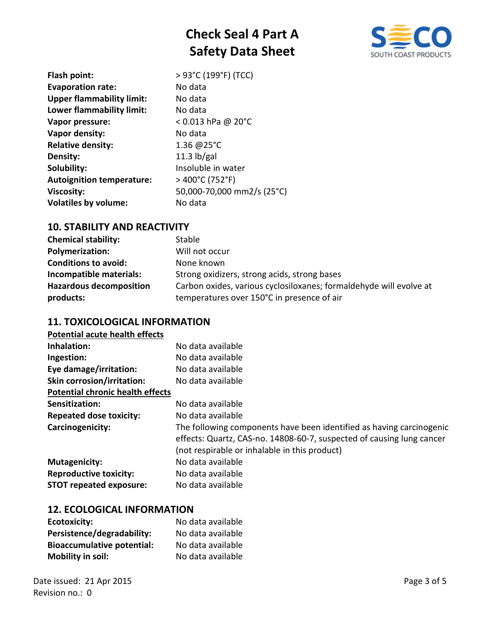

| Flash point:                     | > 93°C (199°F) (TCC)       |
|----------------------------------|----------------------------|
| <b>Evaporation rate:</b>         | No data                    |
| <b>Upper flammability limit:</b> | No data                    |
| Lower flammability limit:        | No data                    |
| Vapor pressure:                  | $< 0.013$ hPa @ 20°C       |
| Vapor density:                   | No data                    |
| <b>Relative density:</b>         | 1.36 @25°C                 |
| Density:                         | 11.3 $\frac{1}{2}$         |
| Solubility:                      | Insoluble in water         |
| <b>Autoignition temperature:</b> | > 400°C (752°F)            |
| <b>Viscosity:</b>                | 50,000-70,000 mm2/s (25°C) |
| <b>Volatiles by volume:</b>      | No data                    |
|                                  |                            |

# **10. STABILITY AND REACTIVITY**

| <b>Chemical stability:</b>     | Stable                                                             |
|--------------------------------|--------------------------------------------------------------------|
| Polymerization:                | Will not occur                                                     |
| <b>Conditions to avoid:</b>    | None known                                                         |
| Incompatible materials:        | Strong oxidizers, strong acids, strong bases                       |
| <b>Hazardous decomposition</b> | Carbon oxides, various cyclosiloxanes; formaldehyde will evolve at |
| products:                      | temperatures over 150°C in presence of air                         |

# **11. TOXICOLOGICAL INFORMATION**

| <b>Potential acute health effects</b> |
|---------------------------------------|
|---------------------------------------|

| No data available                                                                                                                                                                              |
|------------------------------------------------------------------------------------------------------------------------------------------------------------------------------------------------|
| No data available                                                                                                                                                                              |
| No data available                                                                                                                                                                              |
| No data available                                                                                                                                                                              |
|                                                                                                                                                                                                |
| No data available                                                                                                                                                                              |
| No data available                                                                                                                                                                              |
| The following components have been identified as having carcinogenic<br>effects: Quartz, CAS-no. 14808-60-7, suspected of causing lung cancer<br>(not respirable or inhalable in this product) |
| No data available                                                                                                                                                                              |
| No data available                                                                                                                                                                              |
| No data available                                                                                                                                                                              |
|                                                                                                                                                                                                |

### **12. ECOLOGICAL INFORMATION**

| <b>Ecotoxicity:</b>               | No data available |
|-----------------------------------|-------------------|
| Persistence/degradability:        | No data available |
| <b>Bioaccumulative potential:</b> | No data available |
| <b>Mobility in soil:</b>          | No data available |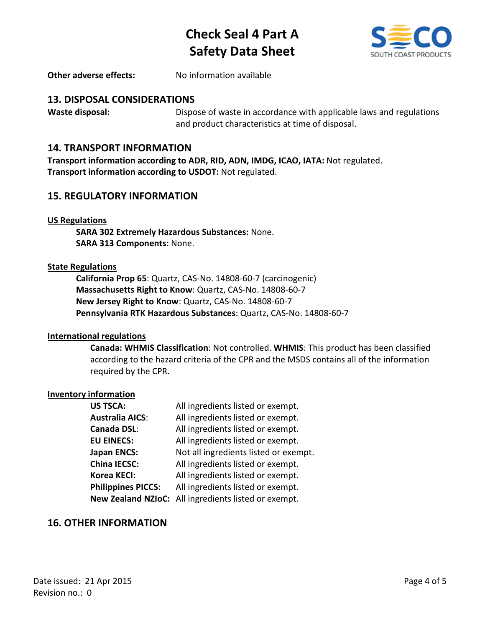

**Other adverse effects:** No information available

## **13. DISPOSAL CONSIDERATIONS**

**Waste disposal:** Dispose of waste in accordance with applicable laws and regulations and product characteristics at time of disposal.

### **14. TRANSPORT INFORMATION**

**Transport information according to ADR, RID, ADN, IMDG, ICAO, IATA:** Not regulated. **Transport information according to USDOT:** Not regulated.

### **15. REGULATORY INFORMATION**

#### **US Regulations**

**SARA 302 Extremely Hazardous Substances:** None. **SARA 313 Components:** None.

#### **State Regulations**

**California Prop 65**: Quartz, CAS-No. 14808-60-7 (carcinogenic) **Massachusetts Right to Know**: Quartz, CAS-No. 14808-60-7 **New Jersey Right to Know**: Quartz, CAS-No. 14808-60-7 **Pennsylvania RTK Hazardous Substances**: Quartz, CAS-No. 14808-60-7

#### **International regulations**

**Canada: WHMIS Classification**: Not controlled. **WHMIS**: This product has been classified according to the hazard criteria of the CPR and the MSDS contains all of the information required by the CPR.

#### **Inventory information**

| <b>US TSCA:</b>           | All ingredients listed or exempt.                    |
|---------------------------|------------------------------------------------------|
| <b>Australia AICS:</b>    | All ingredients listed or exempt.                    |
| Canada DSL:               | All ingredients listed or exempt.                    |
| <b>EU EINECS:</b>         | All ingredients listed or exempt.                    |
| <b>Japan ENCS:</b>        | Not all ingredients listed or exempt.                |
| <b>China IECSC:</b>       | All ingredients listed or exempt.                    |
| Korea KECI:               | All ingredients listed or exempt.                    |
| <b>Philippines PICCS:</b> | All ingredients listed or exempt.                    |
|                           | New Zealand NZIoC: All ingredients listed or exempt. |

### **16. OTHER INFORMATION**